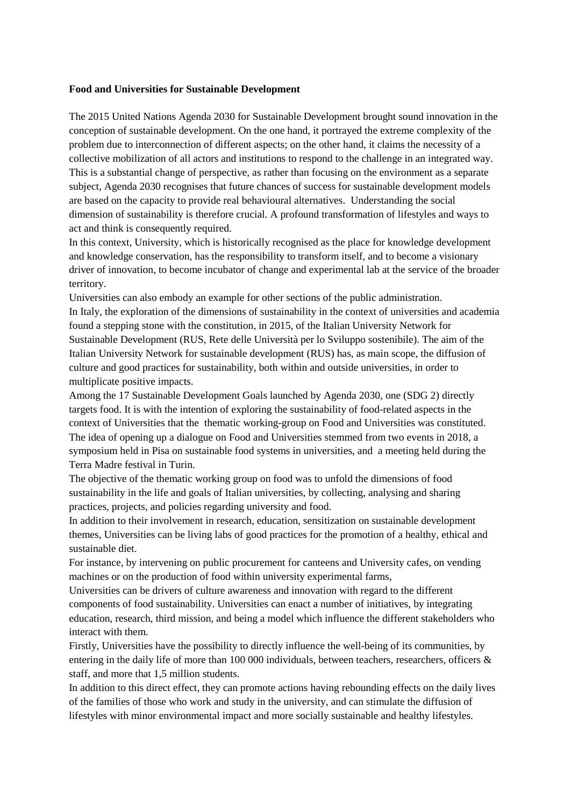#### **Food and Universities for Sustainable Development**

The 2015 United Nations Agenda 2030 for Sustainable Development brought sound innovation in the conception of sustainable development. On the one hand, it portrayed the extreme complexity of the problem due to interconnection of different aspects; on the other hand, it claims the necessity of a collective mobilization of all actors and institutions to respond to the challenge in an integrated way. This is a substantial change of perspective, as rather than focusing on the environment as a separate subject, Agenda 2030 recognises that future chances of success for sustainable development models are based on the capacity to provide real behavioural alternatives. Understanding the social dimension of sustainability is therefore crucial. A profound transformation of lifestyles and ways to act and think is consequently required.

In this context, University, which is historically recognised as the place for knowledge development and knowledge conservation, has the responsibility to transform itself, and to become a visionary driver of innovation, to become incubator of change and experimental lab at the service of the broader territory.

Universities can also embody an example for other sections of the public administration. In Italy, the exploration of the dimensions of sustainability in the context of universities and academia found a stepping stone with the constitution, in 2015, of the Italian University Network for Sustainable Development (RUS, Rete delle Università per lo Sviluppo sostenibile). The aim of the Italian University Network for sustainable development (RUS) has, as main scope, the diffusion of culture and good practices for sustainability, both within and outside universities, in order to multiplicate positive impacts.

Among the 17 Sustainable Development Goals launched by Agenda 2030, one (SDG 2) directly targets food. It is with the intention of exploring the sustainability of food-related aspects in the context of Universities that the thematic working-group on Food and Universities was constituted. The idea of opening up a dialogue on Food and Universities stemmed from two events in 2018, a symposium held in Pisa on sustainable food systems in universities, and a meeting held during the Terra Madre festival in Turin.

The objective of the thematic working group on food was to unfold the dimensions of food sustainability in the life and goals of Italian universities, by collecting, analysing and sharing practices, projects, and policies regarding university and food.

In addition to their involvement in research, education, sensitization on sustainable development themes, Universities can be living labs of good practices for the promotion of a healthy, ethical and sustainable diet.

For instance, by intervening on public procurement for canteens and University cafes, on vending machines or on the production of food within university experimental farms,

Universities can be drivers of culture awareness and innovation with regard to the different components of food sustainability. Universities can enact a number of initiatives, by integrating education, research, third mission, and being a model which influence the different stakeholders who interact with them.

Firstly, Universities have the possibility to directly influence the well-being of its communities, by entering in the daily life of more than 100 000 individuals, between teachers, researchers, officers & staff, and more that 1,5 million students.

In addition to this direct effect, they can promote actions having rebounding effects on the daily lives of the families of those who work and study in the university, and can stimulate the diffusion of lifestyles with minor environmental impact and more socially sustainable and healthy lifestyles.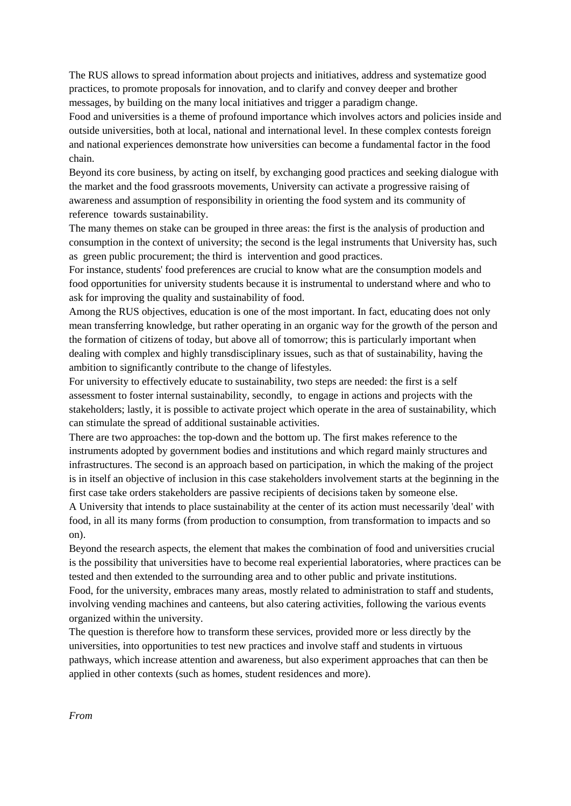The RUS allows to spread information about projects and initiatives, address and systematize good practices, to promote proposals for innovation, and to clarify and convey deeper and brother messages, by building on the many local initiatives and trigger a paradigm change.

Food and universities is a theme of profound importance which involves actors and policies inside and outside universities, both at local, national and international level. In these complex contests foreign and national experiences demonstrate how universities can become a fundamental factor in the food chain.

Beyond its core business, by acting on itself, by exchanging good practices and seeking dialogue with the market and the food grassroots movements, University can activate a progressive raising of awareness and assumption of responsibility in orienting the food system and its community of reference towards sustainability.

The many themes on stake can be grouped in three areas: the first is the analysis of production and consumption in the context of university; the second is the legal instruments that University has, such as green public procurement; the third is intervention and good practices.

For instance, students' food preferences are crucial to know what are the consumption models and food opportunities for university students because it is instrumental to understand where and who to ask for improving the quality and sustainability of food.

Among the RUS objectives, education is one of the most important. In fact, educating does not only mean transferring knowledge, but rather operating in an organic way for the growth of the person and the formation of citizens of today, but above all of tomorrow; this is particularly important when dealing with complex and highly transdisciplinary issues, such as that of sustainability, having the ambition to significantly contribute to the change of lifestyles.

For university to effectively educate to sustainability, two steps are needed: the first is a self assessment to foster internal sustainability, secondly, to engage in actions and projects with the stakeholders; lastly, it is possible to activate project which operate in the area of sustainability, which can stimulate the spread of additional sustainable activities.

There are two approaches: the top-down and the bottom up. The first makes reference to the instruments adopted by government bodies and institutions and which regard mainly structures and infrastructures. The second is an approach based on participation, in which the making of the project is in itself an objective of inclusion in this case stakeholders involvement starts at the beginning in the first case take orders stakeholders are passive recipients of decisions taken by someone else.

A University that intends to place sustainability at the center of its action must necessarily 'deal' with food, in all its many forms (from production to consumption, from transformation to impacts and so on).

Beyond the research aspects, the element that makes the combination of food and universities crucial is the possibility that universities have to become real experiential laboratories, where practices can be tested and then extended to the surrounding area and to other public and private institutions. Food, for the university, embraces many areas, mostly related to administration to staff and students, involving vending machines and canteens, but also catering activities, following the various events organized within the university.

The question is therefore how to transform these services, provided more or less directly by the universities, into opportunities to test new practices and involve staff and students in virtuous pathways, which increase attention and awareness, but also experiment approaches that can then be applied in other contexts (such as homes, student residences and more).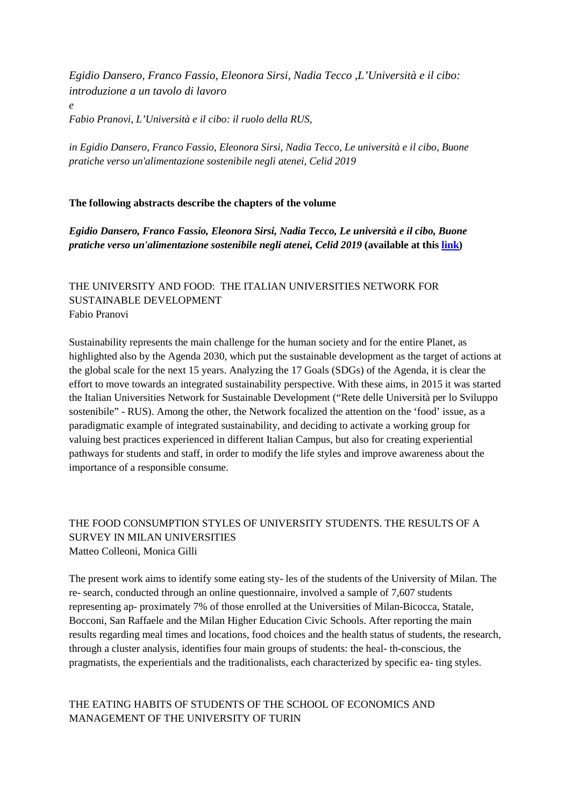*Egidio Dansero, Franco Fassio, Eleonora Sirsi, Nadia Tecco ,L'Università e il cibo: introduzione a un tavolo di lavoro* 

*Fabio Pranovi, L'Università e il cibo: il ruolo della RUS,* 

*e*

*in Egidio Dansero, Franco Fassio, Eleonora Sirsi, Nadia Tecco, Le università e il cibo, Buone pratiche verso un'alimentazione sostenibile negli atenei, Celid 2019*

### **The following abstracts describe the chapters of the volume**

*Egidio Dansero, Franco Fassio, Eleonora Sirsi, Nadia Tecco, Le università e il cibo, Buone pratiche verso un'alimentazione sostenibile negli atenei, Celid 2019* **(available at thi[s link\)](http://www.celid.it/scheda-libro?aaref=1341)**

# THE UNIVERSITY AND FOOD: THE ITALIAN UNIVERSITIES NETWORK FOR SUSTAINABLE DEVELOPMENT Fabio Pranovi

Sustainability represents the main challenge for the human society and for the entire Planet, as highlighted also by the Agenda 2030, which put the sustainable development as the target of actions at the global scale for the next 15 years. Analyzing the 17 Goals (SDGs) of the Agenda, it is clear the effort to move towards an integrated sustainability perspective. With these aims, in 2015 it was started the Italian Universities Network for Sustainable Development ("Rete delle Università per lo Sviluppo sostenibile" - RUS). Among the other, the Network focalized the attention on the 'food' issue, as a paradigmatic example of integrated sustainability, and deciding to activate a working group for valuing best practices experienced in different Italian Campus, but also for creating experiential pathways for students and staff, in order to modify the life styles and improve awareness about the importance of a responsible consume.

### THE FOOD CONSUMPTION STYLES OF UNIVERSITY STUDENTS. THE RESULTS OF A SURVEY IN MILAN UNIVERSITIES Matteo Colleoni, Monica Gilli

The present work aims to identify some eating sty- les of the students of the University of Milan. The re- search, conducted through an online questionnaire, involved a sample of 7,607 students representing ap- proximately 7% of those enrolled at the Universities of Milan-Bicocca, Statale, Bocconi, San Raffaele and the Milan Higher Education Civic Schools. After reporting the main results regarding meal times and locations, food choices and the health status of students, the research, through a cluster analysis, identifies four main groups of students: the heal- th-conscious, the pragmatists, the experientials and the traditionalists, each characterized by specific ea- ting styles.

### THE EATING HABITS OF STUDENTS OF THE SCHOOL OF ECONOMICS AND MANAGEMENT OF THE UNIVERSITY OF TURIN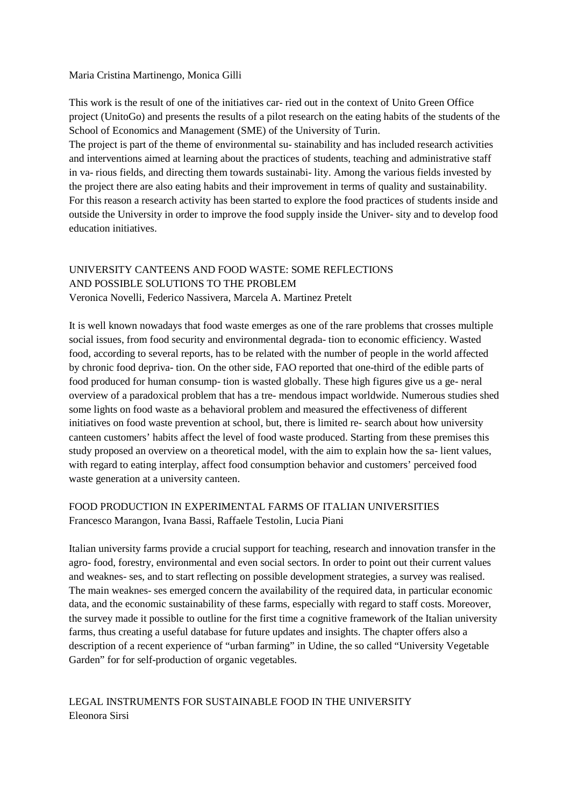### Maria Cristina Martinengo, Monica Gilli

This work is the result of one of the initiatives car- ried out in the context of Unito Green Office project (UnitoGo) and presents the results of a pilot research on the eating habits of the students of the School of Economics and Management (SME) of the University of Turin.

The project is part of the theme of environmental su- stainability and has included research activities and interventions aimed at learning about the practices of students, teaching and administrative staff in va- rious fields, and directing them towards sustainabi- lity. Among the various fields invested by the project there are also eating habits and their improvement in terms of quality and sustainability. For this reason a research activity has been started to explore the food practices of students inside and outside the University in order to improve the food supply inside the Univer- sity and to develop food education initiatives.

# UNIVERSITY CANTEENS AND FOOD WASTE: SOME REFLECTIONS AND POSSIBLE SOLUTIONS TO THE PROBLEM

Veronica Novelli, Federico Nassivera, Marcela A. Martinez Pretelt

It is well known nowadays that food waste emerges as one of the rare problems that crosses multiple social issues, from food security and environmental degrada- tion to economic efficiency. Wasted food, according to several reports, has to be related with the number of people in the world affected by chronic food depriva- tion. On the other side, FAO reported that one-third of the edible parts of food produced for human consump- tion is wasted globally. These high figures give us a ge- neral overview of a paradoxical problem that has a tre- mendous impact worldwide. Numerous studies shed some lights on food waste as a behavioral problem and measured the effectiveness of different initiatives on food waste prevention at school, but, there is limited re- search about how university canteen customers' habits affect the level of food waste produced. Starting from these premises this study proposed an overview on a theoretical model, with the aim to explain how the sa- lient values, with regard to eating interplay, affect food consumption behavior and customers' perceived food waste generation at a university canteen.

## FOOD PRODUCTION IN EXPERIMENTAL FARMS OF ITALIAN UNIVERSITIES Francesco Marangon, Ivana Bassi, Raffaele Testolin, Lucia Piani

Italian university farms provide a crucial support for teaching, research and innovation transfer in the agro- food, forestry, environmental and even social sectors. In order to point out their current values and weaknes- ses, and to start reflecting on possible development strategies, a survey was realised. The main weaknes- ses emerged concern the availability of the required data, in particular economic data, and the economic sustainability of these farms, especially with regard to staff costs. Moreover, the survey made it possible to outline for the first time a cognitive framework of the Italian university farms, thus creating a useful database for future updates and insights. The chapter offers also a description of a recent experience of "urban farming" in Udine, the so called "University Vegetable Garden" for for self-production of organic vegetables.

### LEGAL INSTRUMENTS FOR SUSTAINABLE FOOD IN THE UNIVERSITY Eleonora Sirsi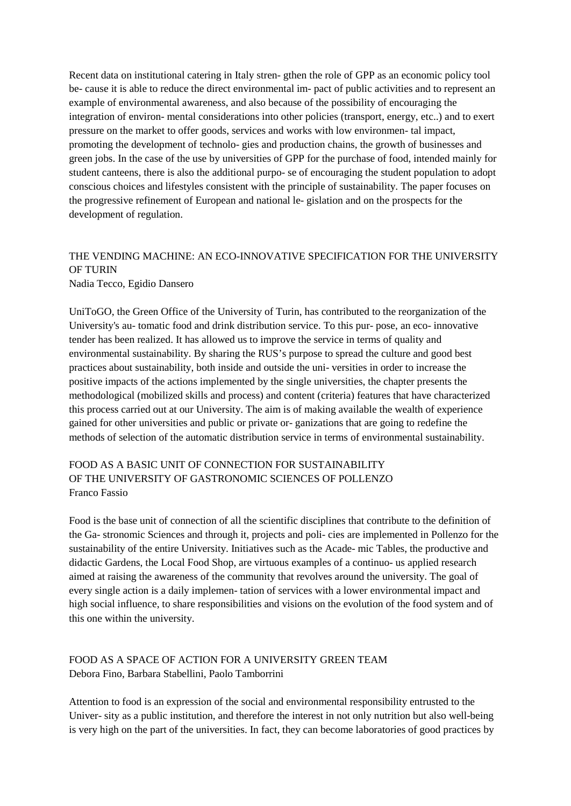Recent data on institutional catering in Italy stren- gthen the role of GPP as an economic policy tool be- cause it is able to reduce the direct environmental im- pact of public activities and to represent an example of environmental awareness, and also because of the possibility of encouraging the integration of environ- mental considerations into other policies (transport, energy, etc..) and to exert pressure on the market to offer goods, services and works with low environmen- tal impact, promoting the development of technolo- gies and production chains, the growth of businesses and green jobs. In the case of the use by universities of GPP for the purchase of food, intended mainly for student canteens, there is also the additional purpo- se of encouraging the student population to adopt conscious choices and lifestyles consistent with the principle of sustainability. The paper focuses on the progressive refinement of European and national le- gislation and on the prospects for the development of regulation.

## THE VENDING MACHINE: AN ECO-INNOVATIVE SPECIFICATION FOR THE UNIVERSITY OF TURIN Nadia Tecco, Egidio Dansero

UniToGO, the Green Office of the University of Turin, has contributed to the reorganization of the University's au- tomatic food and drink distribution service. To this pur- pose, an eco- innovative tender has been realized. It has allowed us to improve the service in terms of quality and environmental sustainability. By sharing the RUS's purpose to spread the culture and good best practices about sustainability, both inside and outside the uni- versities in order to increase the positive impacts of the actions implemented by the single universities, the chapter presents the methodological (mobilized skills and process) and content (criteria) features that have characterized this process carried out at our University. The aim is of making available the wealth of experience gained for other universities and public or private or- ganizations that are going to redefine the methods of selection of the automatic distribution service in terms of environmental sustainability.

## FOOD AS A BASIC UNIT OF CONNECTION FOR SUSTAINABILITY OF THE UNIVERSITY OF GASTRONOMIC SCIENCES OF POLLENZO Franco Fassio

Food is the base unit of connection of all the scientific disciplines that contribute to the definition of the Ga- stronomic Sciences and through it, projects and poli- cies are implemented in Pollenzo for the sustainability of the entire University. Initiatives such as the Acade- mic Tables, the productive and didactic Gardens, the Local Food Shop, are virtuous examples of a continuo- us applied research aimed at raising the awareness of the community that revolves around the university. The goal of every single action is a daily implemen- tation of services with a lower environmental impact and high social influence, to share responsibilities and visions on the evolution of the food system and of this one within the university.

# FOOD AS A SPACE OF ACTION FOR A UNIVERSITY GREEN TEAM Debora Fino, Barbara Stabellini, Paolo Tamborrini

Attention to food is an expression of the social and environmental responsibility entrusted to the Univer- sity as a public institution, and therefore the interest in not only nutrition but also well-being is very high on the part of the universities. In fact, they can become laboratories of good practices by